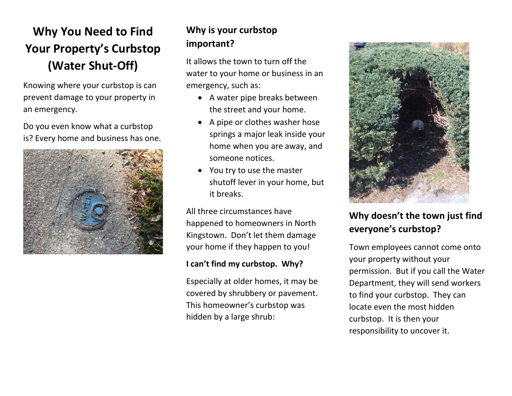# **Why You Need to Find Your Property's Curbstop (Water Shut-Off)**

Knowing where your curbstop is can prevent damage to your property in an emergency.

Do you even know what a curbstop is? Every home and business has one.



### **Why is your curbstop important?**

It allows the town to turn off the water to your home or business in an emergency, such as:

- A water pipe breaks between the street and your home.
- A pipe or clothes washer hose springs a major leak inside your home when you are away, and someone notices.
- You try to use the master shutoff lever in your home, but it breaks.

All three circumstances have happened to homeowners in North Kingstown. Don't let them damage your home if they happen to you!

#### **I can't find my curbstop. Why?**

Especially at older homes, it may be covered by shrubbery or pavement. This homeowner's curbstop was hidden by a large shrub:



## **Why doesn't the town just find everyone's curbstop?**

Town employees cannot come onto your property without your permission. But if you call the Water Department, they will send workers to find your curbstop. They can locate even the most hidden curbstop. It is then your responsibility to uncover it.